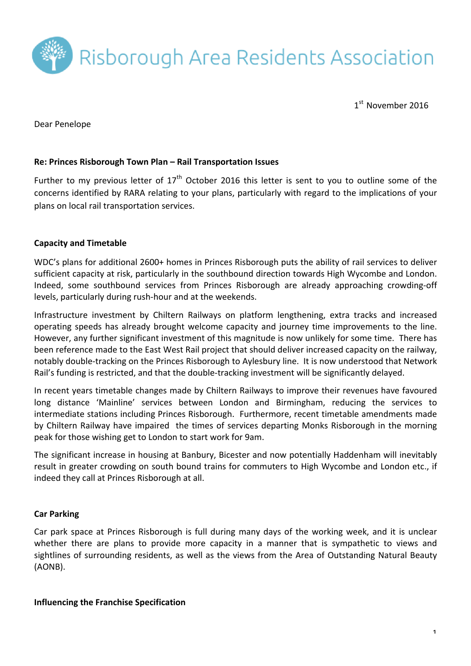

 $1<sup>st</sup>$  November 2016

Dear Penelope

### **Re: Princes Risborough Town Plan – Rail Transportation Issues**

Further to my previous letter of  $17<sup>th</sup>$  October 2016 this letter is sent to you to outline some of the concerns identified by RARA relating to your plans, particularly with regard to the implications of your plans on local rail transportation services.

### **Capacity and Timetable**

WDC's plans for additional 2600+ homes in Princes Risborough puts the ability of rail services to deliver sufficient capacity at risk, particularly in the southbound direction towards High Wycombe and London. Indeed, some southbound services from Princes Risborough are already approaching crowding-off levels, particularly during rush-hour and at the weekends.

Infrastructure investment by Chiltern Railways on platform lengthening, extra tracks and increased operating speeds has already brought welcome capacity and journey time improvements to the line. However, any further significant investment of this magnitude is now unlikely for some time. There has been reference made to the East West Rail project that should deliver increased capacity on the railway, notably double-tracking on the Princes Risborough to Aylesbury line. It is now understood that Network Rail's funding is restricted, and that the double-tracking investment will be significantly delayed.

In recent years timetable changes made by Chiltern Railways to improve their revenues have favoured long distance 'Mainline' services between London and Birmingham, reducing the services to intermediate stations including Princes Risborough. Furthermore, recent timetable amendments made by Chiltern Railway have impaired the times of services departing Monks Risborough in the morning peak for those wishing get to London to start work for 9am.

The significant increase in housing at Banbury, Bicester and now potentially Haddenham will inevitably result in greater crowding on south bound trains for commuters to High Wycombe and London etc., if indeed they call at Princes Risborough at all.

#### **Car Parking**

Car park space at Princes Risborough is full during many days of the working week, and it is unclear whether there are plans to provide more capacity in a manner that is sympathetic to views and sightlines of surrounding residents, as well as the views from the Area of Outstanding Natural Beauty (AONB).

#### **Influencing the Franchise Specification**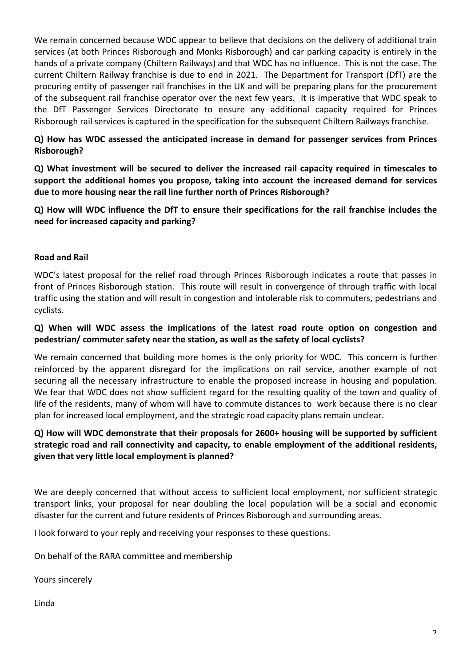We remain concerned because WDC appear to believe that decisions on the delivery of additional train services (at both Princes Risborough and Monks Risborough) and car parking capacity is entirely in the hands of a private company (Chiltern Railways) and that WDC has no influence. This is not the case. The current Chiltern Railway franchise is due to end in 2021. The Department for Transport (DfT) are the procuring entity of passenger rail franchises in the UK and will be preparing plans for the procurement of the subsequent rail franchise operator over the next few years. It is imperative that WDC speak to the DfT Passenger Services Directorate to ensure any additional capacity required for Princes Risborough rail services is captured in the specification for the subsequent Chiltern Railways franchise.

**Q) How has WDC assessed the anticipated increase in demand for passenger services from Princes Risborough?**

**Q)** What investment will be secured to deliver the increased rail capacity required in timescales to support the additional homes you propose, taking into account the increased demand for services due to more housing near the rail line further north of Princes Risborough?

**Q) How will WDC influence the DfT to ensure their specifications for the rail franchise includes the need for increased capacity and parking?**

### **Road and Rail**

WDC's latest proposal for the relief road through Princes Risborough indicates a route that passes in front of Princes Risborough station. This route will result in convergence of through traffic with local traffic using the station and will result in congestion and intolerable risk to commuters, pedestrians and cyclists.

### **Q) When will WDC assess the implications of the latest road route option on congestion and**  pedestrian/ commuter safety near the station, as well as the safety of local cyclists?

We remain concerned that building more homes is the only priority for WDC. This concern is further reinforced by the apparent disregard for the implications on rail service, another example of not securing all the necessary infrastructure to enable the proposed increase in housing and population. We fear that WDC does not show sufficient regard for the resulting quality of the town and quality of life of the residents, many of whom will have to commute distances to work because there is no clear plan for increased local employment, and the strategic road capacity plans remain unclear.

## **Q)** How will WDC demonstrate that their proposals for 2600+ housing will be supported by sufficient strategic road and rail connectivity and capacity, to enable employment of the additional residents, given that very little local employment is planned?

We are deeply concerned that without access to sufficient local employment, nor sufficient strategic transport links, your proposal for near doubling the local population will be a social and economic disaster for the current and future residents of Princes Risborough and surrounding areas.

I look forward to your reply and receiving your responses to these questions.

On behalf of the RARA committee and membership

Yours sincerely

Linda